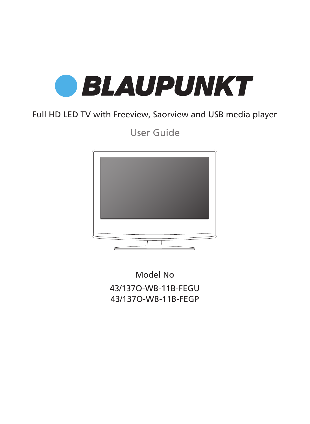

## Full HD LED TV with Freeview, Saorview and USB media player

User Guide



Model No 43/137O-WB-11B-FEGU 43/137O-WB-11B-FEGP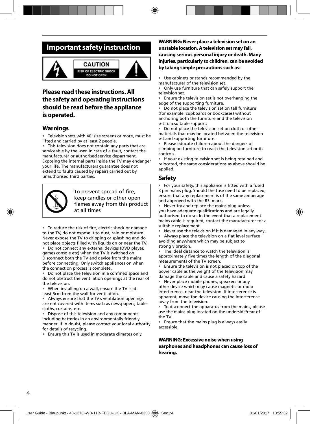## **Important safety instruction**



#### **CALITION RISK OF ELECTRIC SHOCK DO NOT OPEN**



### **Please read these instructions. All the safety and operating instructions should be read before the appliance is operated.**

#### **Warnings**

• Television sets with 40"size screens or more, must be lifted and carried by at least 2 people.

This television does not contain any parts that are serviceable by the user. In case of a fault, contact the manufacturer or authorised service department. Exposing the internal parts inside the TV may endanger your life. The manufacturers guarantee does not extend to faults caused by repairs carried out by unauthorised third parties.



To prevent spread of fire, keep candles or other open flames away from this product at all times

• To reduce the risk of fire, electric shock or damage to the TV, do not expose it to dust, rain or moisture. Never expose the TV to dripping or splashing and do not place objects filled with liquids on or near the TV.

• Do not connect any external devices (DVD player, games console etc) when the TV is switched on. Disconnect both the TV and device from the mains before connecting. Only switch appliances on when the connection process is complete.

• Do not place the television in a confined space and do not obstruct the ventilation openings at the rear of the television.

• When installing on a wall, ensure the TV is at least 5cm from the wall for ventilation.

• Always ensure that the TV's ventilation openings are not covered with items such as newspapers, tablecloths, curtains, etc.

Dispose of this television and any components including batteries in an environmentally friendly manner. If in doubt, please contact your local authority for details of recycling.

• Ensure this TV is used in moderate climates only.

#### **WARNING: Never place a television set on an unstable location. A television set may fall, causing serious personal injury or death. Many injuries, particularly to children, can be avoided by taking simple precautions such as:**

Use cabinets or stands recommended by the manufacturer of the television set.

• Only use furniture that can safely support the television set.

Ensure the television set is not overhanging the edge of the supporting furniture.

Do not place the television set on tall furniture (for example, cupboards or bookcases) without anchoring both the furniture and the television set to a suitable support.

• Do not place the television set on cloth or other materials that may be located between the television set and supporting furniture.

• Please educate children about the dangers of climbing on furniture to reach the television set or its controls.

• If your existing television set is being retained and relocated, the same considerations as above should be applied.

### **Safety**

For your safety, this appliance is fitted with a fused 3 pin mains plug. Should the fuse need to be replaced, ensure that any replacement is of the same amperage and approved with the BSI mark.

• Never try and replace the mains plug unless you have adequate qualifications and are legally authorised to do so. In the event that a replacement mains cable is required, contact the manufacturer for a suitable replacement.

• Never use the television if it is damaged in any way.

• Always place the television on a flat level surface avoiding anywhere which may be subject to strong vibration.

• The ideal distance to watch the television is approximately five times the length of the diagonal measurements of the TV screen.

• Ensure the television is not placed on top of the power cable as the weight of the television may damage the cable and cause a safety hazard.

• Never place mobile phones, speakers or any other device which may cause magnetic or radio interference, near the television. If interference is apparent, move the device causing the interference away from the television.

• To disconnect the apparatus from the mains, please use the mains plug located on the underside/rear of the TV.

• Ensure that the mains plug is always easily accessible.

#### **WARNING: Excessive noise when using earphones and headphones can cause loss of hearing.**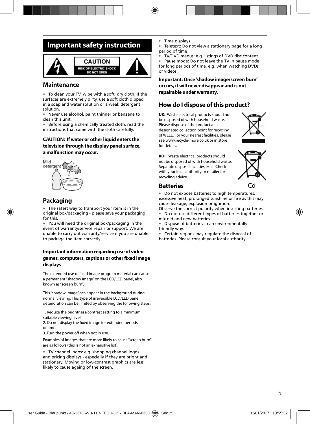## **Important safety instruction**



#### **Maintenance**

• To clean your TV, wipe with a soft, dry cloth. If the surfaces are extremely dirty, use a soft cloth dipped in a soap and water solution or a weak detergent solution.

• Never use alcohol, paint thinner or benzene to clean this unit.

Before using a chemically treated cloth, read the instructions that came with the cloth carefully.

#### **CAUTION: If water or other liquid enters the television through the display panel surface, a malfunction may occur.**



### **Packaging**

• The safest way to transport your item is in the original box/packaging - please save your packaging for this.

• You will need the original box/packaging in the event of warranty/service repair or support. We are unable to carry out warranty/service if you are unable to package the item correctly.

#### **Important information regarding use of video**  games, computers, captions or other fixed image **displays**

The extended use of fixed image program material can cause a permanent "shadow image" on the LCD/LED panel, also known as "screen burn".

This "shadow image" can appear in the background during normal viewing. This type of irreversible LCD/LED panel deterioration can be limited by observing the following steps:

1. Reduce the brightness/contrast setting to a minimum suitable viewing level.

2. Do not display the fixed image for extended periods of time.

3. Turn the power off when not in use.

Examples of images that are more likely to cause "screen burn" are as follows (this is not an exhaustive list):

• TV channel logos: e.g. shopping channel logos and pricing displays - especially if they are bright and stationary. Moving or low-contrast graphics are less likely to cause ageing of the screen.

- Time displays.
- Teletext: Do not view a stationary page for a long period of time
- TV/DVD menus: e.g. listings of DVD disc content.

• Pause mode: Do not leave the TV in pause mode for long periods of time, e.g. when watching DVDs or videos.

**Important: Once 'shadow image/screen burn' occurs, it will never disappear and is not repairable under warranty.**

### **How do I dispose of this product?**

**UK:** Waste electrical products should not be disposed of with household waste. Please dispose of the product at a designated collection point for recycling of WEEE. For your nearest facilities, please see www.recycle-more.co.uk or in store for details.



**ROI:** Waste electrical products should not be disposed of with household waste. Separate disposal facilities exist. Check with your local authority or retailer for recycling advice.



#### **Batteries**

• Do not expose batteries to high temperatures, excessive heat, prolonged sunshine or fire as this may cause leakage, explosion or ignition.

Observe the correct polarity when inserting batteries.

• Do not use different types of batteries together or mix old and new batteries.

• Dispose of batteries in an environmentally friendly way.

• Certain regions may regulate the disposal of batteries. Please consult your local authority.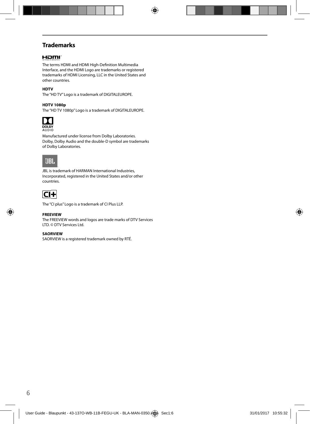### **Trademarks**

#### Həmr

The terms HDMI and HDMI High-Definition Multimedia Interface, and the HDMI Logo are trademarks or registered trademarks of HDMI Licensing, LLC in the United States and other countries.

#### **HDTV**

The "HD TV" Logo is a trademark of DIGITALEUROPE.

#### **HDTV 1080p**

The "HD TV 1080p" Logo is a trademark of DIGITALEUROPE.



Manufactured under license from Dolby Laboratories. Dolby, Dolby Audio and the double-D symbol are trademarks of Dolby Laboratories.

## UBL.

JBL is trademark of HARMAN International Industries, Incorporated, registered in the United States and/or other countries.



The "CI plus" Logo is a trademark of CI Plus LLP.

#### **FREEVIEW**

The FREEVIEW words and logos are trade marks of DTV Services LTD. © DTV Services Ltd.

#### **SAORVIEW**

SAORVIEW is a registered trademark owned by RTÉ.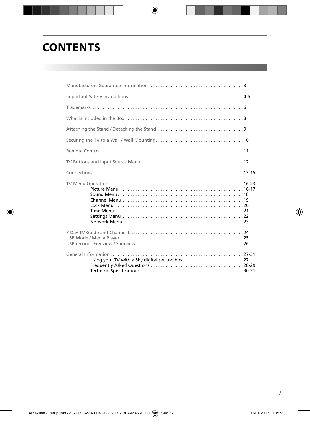## **CONTENTS**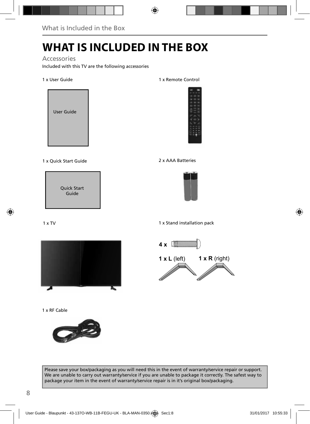## **WHAT IS INCLUDED IN THE BOX**

### Accessories

Included with this TV are the following accessories

#### 1 x User Guide



#### 1 x Quick Start Guide 2 x AAA Batteries

Quick Start Guide

#### 1 x TV



1 x RF Cable



#### 1 x Remote Control





1 x Stand installation pack



Please save your box/packaging as you will need this in the event of warranty/service repair or support. We are unable to carry out warranty/service if you are unable to package it correctly. The safest way to package your item in the event of warranty/service repair is in it's original box/packaging.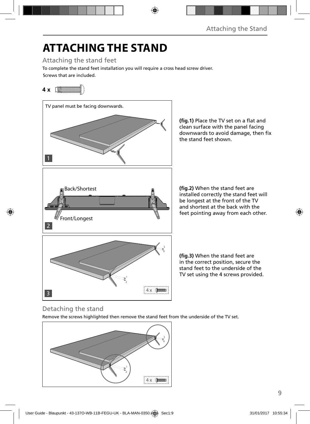# **ATTACHING THE STAND**

Attaching the stand feet

Screws that are included. To complete the stand feet installation you will require a cross head screw driver.

## **4 x**



(fig.1) Place the TV set on a flat and clean surface with the panel facing downwards to avoid damage, then fix the stand feet shown.

**(fig.2)** When the stand feet are installed correctly the stand feet will be longest at the front of the TV and shortest at the back with the feet pointing away from each other.

(fig.3) When the stand feet are in the correct position, secure the stand feet to the underside of the TV set using the 4 screws provided.

## Detaching the stand

Remove the screws highlighted then remove the stand feet from the underside of the TV set.

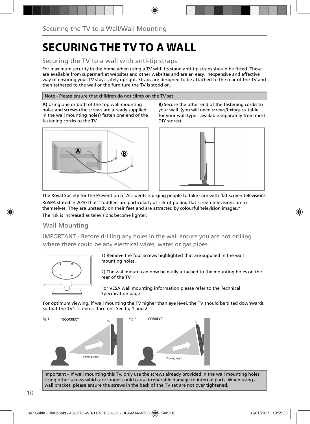## **SECURING THE TV TO A WALL**

### Securing the TV to a wall with anti-tip straps

For maximum security in the home when using a TV with its stand anti-tip straps should be fitted. These are available from supermarket websites and other websites and are an easy, inexpensive and effective way of ensuring your TV stays safely upright. Straps are designed to be attached to the rear of the TV and then tethered to the wall or the furniture the TV is stood on.

#### Note - Please ensure that children do not climb on the TV set.

**A)** Using one or both of the top wall-mounting holes and screws (the screws are already supplied in the wall mounting holes) fasten one end of the fastening cord/s to the TV.



**B)** Secure the other end of the fastening cord/s to your wall. (you will need screws/fixings suitable for your wall type - available separately from most DIY stores).



The Royal Society for the Prevention of Accidents is urging people to take care with flat-screen televisions. RoSPA stated in 2010 that "Toddlers are particularly at risk of pulling flat-screen televisions on to themselves. They are unsteady on their feet and are attracted by colourful television images."

The risk is increased as televisions become lighter.

#### Wall Mounting

IMPORTANT - Before drilling any holes in the wall ensure you are not drilling where there could be any electrical wires, water or gas pipes.



1) Remove the four screws highlighted that are supplied in the wall mounting holes.

2) The wall mount can now be easily attached to the mounting holes on the rear of the TV.

For VESA wall mounting information please refer to the Technical Specification page.

For optimum viewing, if wall mounting the TV higher than eye level, the TV should be tilted downwards so that the TV's screen is 'face on'. See fig 1 and 2.



Important – If wall mounting this TV, only use the screws already provided in the wall mounting holes. Using other screws which are longer could cause irreparable damage to internal parts. When using a wall bracket, please ensure the screws in the back of the TV set are not over tightened.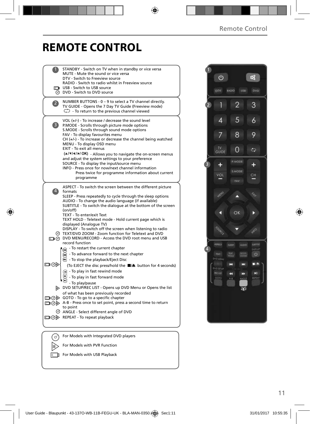## **REMOTE CONTROL**

|                   | STANDBY - Switch on TV when in standby or vice versa<br>MUTE - Mute the sound or vice versa<br>DTV - Switch to Freeview source                                                                                                                                                                                                                                                                                                                                                                                                          |  |
|-------------------|-----------------------------------------------------------------------------------------------------------------------------------------------------------------------------------------------------------------------------------------------------------------------------------------------------------------------------------------------------------------------------------------------------------------------------------------------------------------------------------------------------------------------------------------|--|
|                   | RADIO - Switch to radio whilst in Freeview source<br>USB - Switch to USB source<br><b>O</b> DVD - Switch to DVD source                                                                                                                                                                                                                                                                                                                                                                                                                  |  |
| $\overline{2}$    | NUMBER BUTTONS - 0 - 9 to select a TV channel directly.<br>TV GUIDE - Opens the 7 Day TV Guide (Freeview mode)<br>To return to the previous channel viewed                                                                                                                                                                                                                                                                                                                                                                              |  |
| 3                 | VOL (+/-) - To increase / decrease the sound level<br>P.MODE - Scrolls through picture mode options<br>S.MODE - Scrolls through sound mode options<br>FAV - To display favourites menu<br>$CH (+/-)$ - To increase or decrease the channel being watched<br>MENU - To display OSD menu<br>EXIT - To exit all menus<br>(A/V/4/D/OK) - Allows you to navigate the on-screen menus<br>and adjust the system settings to your preference<br>SOURCE - To display the input/source menu<br>INFO - Press once for now/next channel information |  |
|                   | Press twice for programme information about current<br>programme                                                                                                                                                                                                                                                                                                                                                                                                                                                                        |  |
| $\left( 4\right)$ | ASPECT - To switch the screen between the different picture<br>formats<br>SLEEP - Press repeatedly to cycle through the sleep options<br>AUDIO - To change the audio language (if available)<br>SUBTITLE - To switch the dialogue at the bottom of the screen<br>(on/off)<br>TEXT - To enter/exit Text<br>TEXT HOLD - Teletext mode - Hold current page which is<br>displayed (Analogue TV)                                                                                                                                             |  |
|                   | DISPLAY - To switch off the screen when listening to radio<br>TEXT/DVD ZOOM - Zoom function for Teletext and DVD<br>DVD MENU/RECORD - Access the DVD root menu and USB<br>record function                                                                                                                                                                                                                                                                                                                                               |  |
| ⊡⊙⊳               | $\mathbb{R}$ - To restart the current chapter<br>$\widetilde{m}$ - To advance forward to the next chapter<br>$\odot$ - To stop the playback/Eject Disc<br>(To EJECT the disc press/hold the ■▲ button for 4 seconds)<br>$\left( \mathbf{A} \right)$ - To play in fast rewind mode<br>- To play in fast forward mode                                                                                                                                                                                                                     |  |
|                   | - To play/pause<br>DVD SETUP/REC LIST - Opens up DVD Menu or Opens the list<br>of what has been previously recorded<br>□ ⊙ ⊙ GOTO - To go to a specific chapter                                                                                                                                                                                                                                                                                                                                                                         |  |
|                   | □ ⊙ > A-B - Press once to set point, press a second time to return<br>to point<br>ANGLE - Select different angle of DVD<br>□ ⊙ D REPEAT - To repeat playback                                                                                                                                                                                                                                                                                                                                                                            |  |
|                   |                                                                                                                                                                                                                                                                                                                                                                                                                                                                                                                                         |  |
|                   | For Models with Integrated DVD players                                                                                                                                                                                                                                                                                                                                                                                                                                                                                                  |  |
|                   | For Models with PVR Function                                                                                                                                                                                                                                                                                                                                                                                                                                                                                                            |  |

For Models with USB Playback

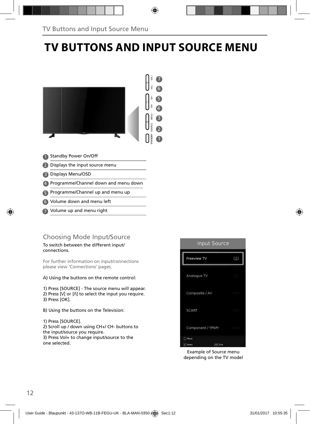## **TV BUTTONS AND INPUT SOURCE MENU**



- Standby Power On/Off 1
- 2 Displays the input source menu
- Displays Menu/OSD 3
- Programme/Channel down and menu down 4
- **5** Programme/Channel up and menu up
- Volume down and menu left 6
- Volume up and menu right 7

### Choosing Mode Input/Source

#### To switch between the different input/ connections.

For further information on input/connections please view 'Connections' pages.

A) Using the buttons on the remote control:

1) Press [SOURCE] - The source menu will appear. 2) Press  $[V]$  or  $[\Lambda]$  to select the input you require. 3) Press [OK].

- B) Using the buttons on the Television:
- 1) Press [SOURCE].

2) Scroll up / down using CH+/ CH- buttons to the input/source you require. 3) Press Vol+ to change input/source to the one selected.



Example of Source menu depending on the TV model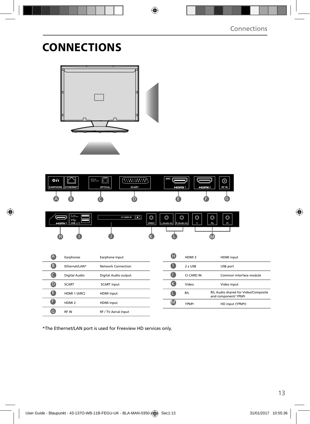## **CONNECTIONS**



| ON<br><b>EARPHONE   ETHERNET</b> | æ | DIGITAL<br>Я<br>AUDIO OUT<br>m<br><b>OPTICAL</b> | 5555555<br><b>SCART</b> | <b>ARC</b><br>HOMI1 | HOMI 2 | $\odot$<br>RF IN |
|----------------------------------|---|--------------------------------------------------|-------------------------|---------------------|--------|------------------|
| $\mathsf{A}$                     | в |                                                  |                         |                     |        |                  |

| $H \square T \square$ 3 USB (2.0) | $5V = 1$<br>500mA MAX<br>$\leftarrow$ | <b>CI CARD IN</b> | $\circledcirc$<br>m<br>VIDEO | O<br>L (Audio In) R (Audio In) | $\circledcirc$ | $\circledcirc$<br>$\checkmark$ | $\circledcirc$<br>Pb | $\circledcirc$<br>Pr. |  |
|-----------------------------------|---------------------------------------|-------------------|------------------------------|--------------------------------|----------------|--------------------------------|----------------------|-----------------------|--|
| н                                 |                                       |                   |                              |                                |                |                                | w                    |                       |  |

|    | Earphones         | Earphone Input              |
|----|-------------------|-----------------------------|
| в  | Ethernet/LAN*     | Network Connection          |
|    | Digital Audio     | Digital Audio output        |
|    | <b>SCART</b>      | <b>SCART</b> input          |
| Ð  | HDMI 1 (ARC)      | <b>HDMI</b> input           |
| 15 | HDMI <sub>2</sub> | <b>HDMI</b> input           |
|    | <b>RFIN</b>       | <b>RF / TV Aerial Input</b> |

| н | HDMI3          | <b>HDMI</b> input                                            |
|---|----------------|--------------------------------------------------------------|
|   | $2 \times$ USB | USB port                                                     |
|   | CI CARD IN     | Common Interface module                                      |
|   | Video          | Video Input                                                  |
|   | R/L            | R/L Audio shared for Video/Composite<br>and component/ YPbPr |
|   | YPbPr          | HD input (YPbPr)                                             |

\*The Ethernet/LAN port is used for Freeview HD services only.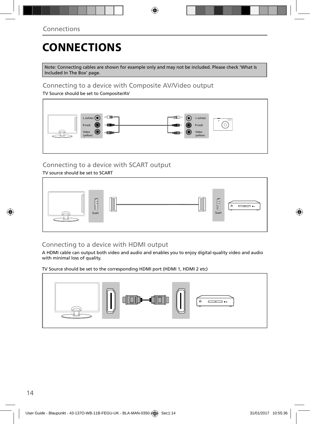## **CONNECTIONS**

Note: Connecting cables are shown for example only and may not be included. Please check 'What Is Included In The Box' page.

### Connecting to a device with Composite AV/Video output

TV Source should be set to Composite/AV



### Connecting to a device with SCART output

TV source should be set to SCART



## Connecting to a device with HDMI output

A HDMI cable can output both video and audio and enables you to enjoy digital-quality video and audio with minimal loss of quality.

TV Source should be set to the corresponding HDMI port (HDMI 1, HDMI 2 etc)

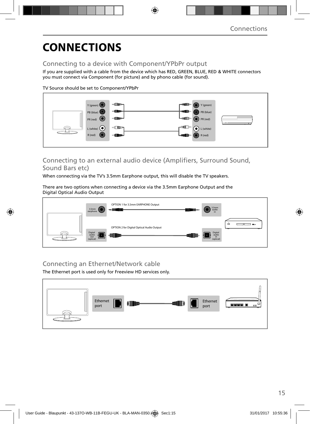## **CONNECTIONS**

### Connecting to a device with Component/YPbPr output

If you are supplied with a cable from the device which has RED, GREEN, BLUE, RED & WHITE connectors you must connect via Component (for picture) and by phono cable (for sound).

TV Source should be set to Component/YPbPr



### Connecting to an external audio device (Amplifiers, Surround Sound, Sound Bars etc)

When connecting via the TV's 3.5mm Earphone output, this will disable the TV speakers.

There are two options when connecting a device via the 3.5mm Earphone Output and the Digital Optical Audio Output



### Connecting an Ethernet/Network cable

The Ethernet port is used only for Freeview HD services only.

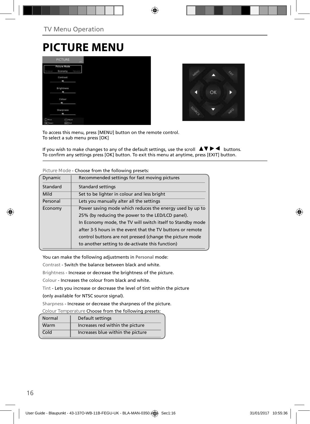## **PICTURE MENU**

|                   | <b>PICTURE</b>                 | <b>COLL</b> |
|-------------------|--------------------------------|-------------|
|                   | <b>Picture Mode</b><br>Economy | Dysan       |
|                   | <b>Contrast</b><br>۰           |             |
|                   | Brightness<br>m                |             |
|                   | Colour<br>۰                    |             |
|                   | Sharpness<br>۰                 |             |
| Moura<br>DK Tered | <b>CAASUS</b><br>they kell     |             |



To access this menu, press [MENU] button on the remote control. To select a sub menu press [OK]

If you wish to make changes to any of the default settings, use the scroll  $\Delta \nabla \blacktriangleright$   $\blacktriangleleft$  buttons. To confirm any settings press [OK] button. To exit this menu at anytime, press [EXIT] button.

| <b>Dynamic</b> | Recommended settings for fast moving pictures              |
|----------------|------------------------------------------------------------|
| Standard       | Standard settings                                          |
| Mild           | Set to be lighter in colour and less bright                |
| Personal       | Lets you manually alter all the settings                   |
| Economy        | Power saving mode which reduces the energy used by up to   |
|                | 25% (by reducing the power to the LED/LCD panel).          |
|                | In Economy mode, the TV will switch itself to Standby mode |
|                | after 3-5 hours in the event that the TV buttons or remote |
|                | control buttons are not pressed (change the picture mode   |
|                | to another setting to de-activate this function)           |
|                |                                                            |

**Picture Mode** - Choose from the following presets:

You can make the following adjustments in **Personal** mode:

Contrast - Switch the balance between black and white.

Brightness - Increase or decrease the brightness of the picture.

Colour - Increases the colour from black and white.

Tint - Lets you increase or decrease the level of tint within the picture

(only available for NTSC source signal).

Sharpness - Increase or decrease the sharpness of the picture.

**Colour Temperature** Choose from the following presets:

| Normal | Default settings                  |
|--------|-----------------------------------|
| Warm   | Increases red within the picture  |
| Cold   | Increases blue within the picture |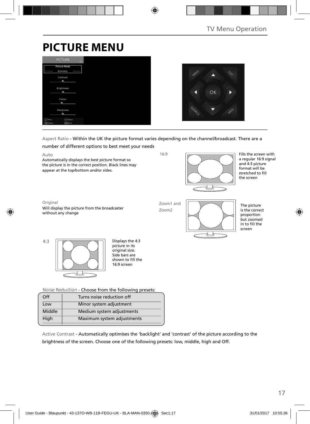## **PICTURE MENU**

|                    | <b>PICTURE</b>                           | <b>COLOR</b> |  |  |
|--------------------|------------------------------------------|--------------|--|--|
| <b>VII-4</b>       | <b>Picture Mode</b><br>Economy<br>Dynami |              |  |  |
|                    | Contrast<br>۰                            |              |  |  |
|                    | Brightness<br>×                          |              |  |  |
|                    | Colour                                   |              |  |  |
|                    | Sharpness<br>۰                           |              |  |  |
| Moure<br>OK Terect | Adjust<br><b>SKY Call</b>                |              |  |  |



#### Aspect Ratio - Within the UK the picture format varies depending on the channel/broadcast. There are a



Auto Automatically displays the best picture format so the picture is in the correct position. Black lines may appear at the top/bottom and/or sides.

Original Will display the picture from the broadcaster without any change

16:9



Fills the screen with a regular 16:9 signal and 4:3 picture format will be stretched to fill the screen

Zoom1 and Zoom2



The picture is the correct proportion but zoomed in to fill the screen



picture in its original size. Side bars are shown to fill the 16:9 screen

**Noise Reduction** - Choose from the following presets:

| Off    | Turns noise reduction off  |
|--------|----------------------------|
| Low    | Minor system adjustment    |
| Middle | Medium system adjustments  |
| High   | Maximum system adjustments |
|        |                            |

Active Contrast - Automatically optimises the 'backlight' and 'contrast' of the picture according to the brightness of the screen. Choose one of the following presets: low, middle, high and Off.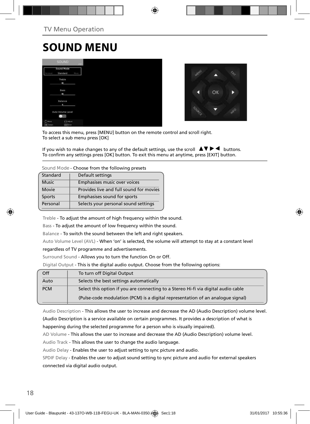## **SOUND MENU**

|                               | <b>SOUND</b>           |      |
|-------------------------------|------------------------|------|
| <b>SALAR</b>                  | Sound Mode<br>Standard | Nov. |
|                               | Treble<br>٠            |      |
|                               | Bass<br>٠              |      |
|                               | Balance<br>٠           |      |
|                               | Auto Volume Level      |      |
| $(2)$ Have<br><b>DK</b> lived | Adium<br>earl Com      |      |



To access this menu, press [MENU] button on the remote control and scroll right. To select a sub menu press [OK]

If you wish to make changes to any of the default settings, use the scroll  $\blacktriangle \blacktriangledown \blacktriangleright \blacktriangleleft$  buttons. To confirm any settings press [OK] button. To exit this menu at anytime, press [EXIT] button.

**Sound Mode** - Choose from the following presets

| Standard      | Default settings                        |
|---------------|-----------------------------------------|
| <b>Music</b>  | Emphasises music over voices            |
| Movie         | Provides live and full sound for movies |
| <b>Sports</b> | Emphasises sound for sports             |
| Personal      | Selects your personal sound settings    |
|               |                                         |

Treble - To adjust the amount of high frequency within the sound.

Bass - To adjust the amount of low frequency within the sound.

Balance - To switch the sound between the left and right speakers.

Auto Volume Level (AVL) - When 'on' is selected, the volume will attempt to stay at a constant level

regardless of TV programme and advertisements.

Surround Sound - Allows you to turn the function On or Off.

Digital Output - This is the digital audio output. Choose from the following options:

| Off        | To turn off Digital Output                                                         |
|------------|------------------------------------------------------------------------------------|
| Auto       | Selects the best settings automatically                                            |
| <b>PCM</b> | Select this option if you are connecting to a Stereo Hi-fi via digital audio cable |
|            | (Pulse-code modulation (PCM) is a digital representation of an analogue signal)    |

Audio Description - This allows the user to increase and decrease the AD (Audio Description) volume level.

(Audio Description is a service available on certain programmes. It provides a description of what is happening during the selected programme for a person who is visually impaired).

AD Volume - This allows the user to increase and decrease the AD (Audio Description) volume level.

Audio Track - This allows the user to change the audio language.

Audio Delay - Enables the user to adjust setting to sync picture and audio.

SPDIF Delay - Enables the user to adjust sound setting to sync picture and audio for external speakers connected via digital audio output.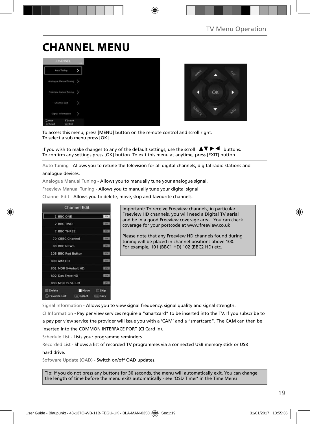## **CHANNEL MENU**





To access this menu, press [MENU] button on the remote control and scroll right. To select a sub menu press [OK]

If you wish to make changes to any of the default settings, use the scroll  $\Box \blacktriangledown \blacktriangleright \blacktriangleleft$  buttons. To confirm any settings press [OK] button. To exit this menu at anytime, press [EXIT] button.

Auto Tuning - Allows you to retune the television for all digital channels, digital radio stations and analogue devices.

Analogue Manual Tuning - Allows you to manually tune your analogue signal.

Freeview Manual Tuning - Allows you to manually tune your digital signal.

Channel Edit - Allows you to delete, move, skip and favourite channels.



Important: To receive Freeview channels, in particular Freeview HD channels, you will need a Digital TV aerial and be in a good Freeview coverage area. You can check coverage for your postcode at www.freeview.co.uk

Please note that any Freeview HD channels found during tuning will be placed in channel positions above 100. For example, 101 (BBC1 HD) 102 (BBC2 HD) etc.

Signal Information - Allows you to view signal frequency, signal quality and signal strength.

CI Information - Pay per view services require a "smartcard" to be inserted into the TV. If you subscribe to a pay per view service the provider will issue you with a 'CAM' and a "smartcard". The CAM can then be inserted into the COMMON INTERFACE PORT (CI Card In).

Schedule List - Lists your programme reminders.

Recorded List - Shows a list of recorded TV programmes via a connected USB memory stick or USB hard drive.

Software Update (OAD) - Switch on/off OAD updates.

Tip: If you do not press any buttons for 30 seconds, the menu will automatically exit. You can change the length of time before the menu exits automatically - see 'OSD Timer' in the Time Menu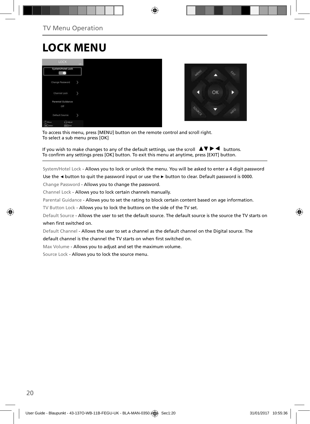## **LOCK MENU**





To access this menu, press [MENU] button on the remote control and scroll right. To select a sub menu press [OK]

If you wish to make changes to any of the default settings, use the scroll  $\blacktriangle \blacktriangledown \blacktriangleright \blacktriangleleft$  buttons. To confirm any settings press [OK] button. To exit this menu at anytime, press [EXIT] button.

System/Hotel Lock - Allows you to lock or unlock the menu. You will be asked to enter a 4 digit password

Use the **◄** button to quit the password input or use the **►** button to clear. Default password is 0000.

Change Password - Allows you to change the password.

Channel Lock - Allows you to lock certain channels manually.

Parental Guidance - Allows you to set the rating to block certain content based on age information.

TV Button Lock - Allows you to lock the buttons on the side of the TV set.

Default Source - Allows the user to set the default source. The default source is the source the TV starts on when first switched on.

Default Channel - Allows the user to set a channel as the default channel on the Digital source. The

default channel is the channel the TV starts on when first switched on.

Max Volume - Allows you to adjust and set the maximum volume.

Source Lock - Allows you to lock the source menu.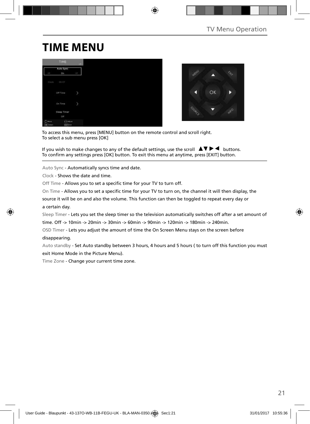## **TIME MENU**

|                                           | TIME                      | $-446.7$ |
|-------------------------------------------|---------------------------|----------|
| GTE                                       | Auto Sync<br>On           | ų        |
| Clock                                     | 00:07                     |          |
|                                           | Off Time                  | b        |
|                                           | On Time                   | y        |
|                                           | Sleep Timer<br>Off        |          |
| $^{\prime\prime}$ Have<br><b>CK</b> Twent | <b>CAASat</b><br>Earl Cut |          |



To access this menu, press [MENU] button on the remote control and scroll right. To select a sub menu press [OK]

If you wish to make changes to any of the default settings, use the scroll  $\Box \blacktriangledown \blacktriangleright \blacktriangleleft$  buttons. To confirm any settings press [OK] button. To exit this menu at anytime, press [EXIT] button.

Auto Sync - Automatically syncs time and date.

Clock - Shows the date and time.

Off Time - Allows you to set a specific time for your TV to turn off.

On Time - Allows you to set a specific time for your TV to turn on, the channel it will then display, the

source it will be on and also the volume. This function can then be toggled to repeat every day or a certain day.

Sleep Timer - Lets you set the sleep timer so the television automatically switches off after a set amount of

time. Off -> 10min -> 20min -> 30min -> 60min -> 90min -> 120min -> 180min -> 240min.

OSD Timer - Lets you adjust the amount of time the On Screen Menu stays on the screen before disappearing.

Auto standby - Set Auto standby between 3 hours, 4 hours and 5 hours ( to turn off this function you must exit Home Mode in the Picture Menu).

Time Zone - Change your current time zone.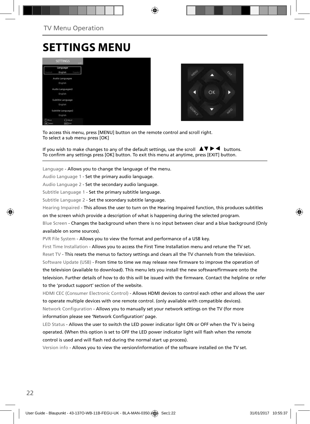## **SETTINGS MENU**





To access this menu, press [MENU] button on the remote control and scroll right. To select a sub menu press [OK]

If you wish to make changes to any of the default settings, use the scroll  $\blacktriangle \blacktriangledown \blacktriangleright \blacktriangleleft$  buttons. To confirm any settings press [OK] button. To exit this menu at anytime, press [EXIT] button.

Language - Allows you to change the language of the menu.

Audio Language 1 - Set the primary audio language.

Audio Language 2 - Set the secondary audio language.

Subtitle Language 1 - Set the primary subtitle language.

Subtitle Language 2 - Set the sceondary subtitle language.

Hearing Impaired - This allows the user to turn on the Hearing Impaired function, this produces subtitles

on the screen which provide a description of what is happening during the selected program.

Blue Screen - Changes the background when there is no input between clear and a blue background (Only available on some sources).

PVR File System - Allows you to view the format and performance of a USB key.

First Time Installation - Allows you to access the First Time Installation menu and retune the TV set. Reset TV - This resets the menus to factory settings and clears all the TV channels from the television. Software Update (USB) - From time to time we may release new firmware to improve the operation of the television (available to download). This menu lets you install the new software/firmware onto the television. Further details of how to do this will be issued with the firmware. Contact the helpline or refer to the 'product support' section of the website.

HDMI CEC (Consumer Electronic Control) - Allows HDMI devices to control each other and allows the user to operate multiple devices with one remote control. (only available with compatible devices). Network Configuration - Allows you to manually set your network settings on the TV (for more information please see 'Network Configuration' page.

LED Status - Allows the user to switch the LED power indicator light ON or OFF when the TV is being operated. (When this option is set to OFF the LED power indicator light will flash when the remote control is used and will flash red during the normal start up process).

Version info - Allows you to view the version/information of the software installed on the TV set.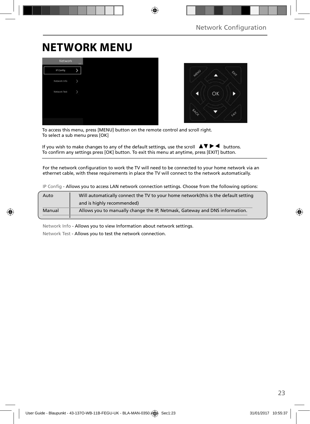## **NETWORK MENU**

| Network      | <b>TITLE</b> |
|--------------|--------------|
| IP Config    |              |
| Network Info |              |
| Network Test | 3            |
|              |              |
|              |              |
|              |              |



To access this menu, press [MENU] button on the remote control and scroll right. To select a sub menu press [OK]

If you wish to make changes to any of the default settings, use the scroll  $\Box \blacktriangledown \blacktriangleright \blacktriangleleft$  buttons. To confirm any settings press [OK] button. To exit this menu at anytime, press [EXIT] button.

For the network configuration to work the TV will need to be connected to your home network via an ethernet cable, with these requirements in place the TV will connect to the network automatically.

|  |  | IP Config - Allows you to access LAN network connection settings. Choose from the following options: |  |  |
|--|--|------------------------------------------------------------------------------------------------------|--|--|
|--|--|------------------------------------------------------------------------------------------------------|--|--|

| Auto   | Will automatically connect the TV to your home network (this is the default setting |
|--------|-------------------------------------------------------------------------------------|
|        | and is highly recommended)                                                          |
| Manual | Allows you to manually change the IP, Netmask, Gateway and DNS information.         |

Network Info - Allows you to view Information about network settings.

Network Test - Allows you to test the network connection.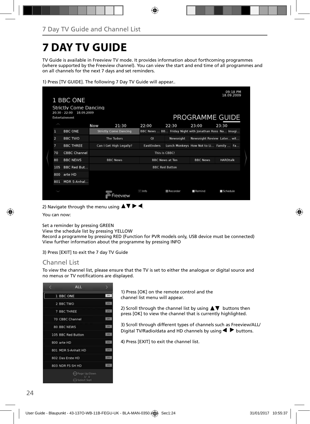## **7 DAY TV GUIDE**

TV Guide is available in Freeview TV mode. It provides information about forthcoming programmes (where supported by the Freeview channel). You can view the start and end time of all programmes and on all channels for the next 7 days and set reminders.

| 1) Press [TV GUIDE]. The following 7 Day TV Guide will appear |  |  |  |
|---------------------------------------------------------------|--|--|--|
|---------------------------------------------------------------|--|--|--|

|                | 1 BBC ONE                                                                      |                              |                |                        |                                                       | 09:18 PM<br>18.09.2009 |
|----------------|--------------------------------------------------------------------------------|------------------------------|----------------|------------------------|-------------------------------------------------------|------------------------|
|                | <b>Strictly Come Dancing</b><br>$20:30 - 22:00$<br>18.09.2009<br>Entertainment |                              |                |                        | PROGRAMME GUIDE                                       |                        |
|                |                                                                                | Now<br>21:30                 | 22:00          | 22:30                  | 23:00                                                 | 23:30                  |
| 1              | <b>BBC ONE</b>                                                                 | <b>Strictly Come Dancing</b> |                |                        | BBC News  BB Friday Night with Jonathan Ross Na Imagi |                        |
| $\overline{a}$ | <b>BBC TWO</b>                                                                 | <b>The Tudors</b>            | $\overline{O}$ | Newsnight              | Newsnight Review Later wit                            |                        |
| 7              | <b>BBC THREE</b>                                                               | Can I Get High Legally?      | EastEnders     |                        | Lunch Monkeys How Not to Li Family  Fa                |                        |
| 70             | <b>CBBC Channel</b>                                                            |                              | This is CBBC!  |                        |                                                       |                        |
| 80             | <b>BBC NEWS</b>                                                                | <b>BBC News</b>              |                | <b>BBC News at Ten</b> | <b>BBC News</b>                                       | <b>HARDtalk</b>        |
| 105            | <b>BBC Red But</b>                                                             |                              |                | <b>BBC Red Button</b>  |                                                       |                        |
| 800            | arte HD                                                                        |                              |                |                        |                                                       |                        |
| 801            | MDR S-Anhal                                                                    |                              |                |                        |                                                       |                        |
|                |                                                                                | PAVIAW                       | $\equiv$ Info  | Recorder               | Remind                                                | Schedule               |

2) Navigate through the menu using  $\blacktriangle \blacktriangledown \blacktriangleright \blacktriangleleft$ .

You can now:

Set a reminder by pressing GREEN

View the schedule list by pressing YELLOW

Record a programme by pressing RED (Function for PVR models only, USB device must be connected) View further information about the programme by pressing INFO

3) Press [EXIT] to exit the 7 day TV Guide

#### Channel List

To view the channel list, please ensure that the TV is set to either the analogue or digital source and no menus or TV notifications are displayed.

| <b>ALL</b>                                |             |
|-------------------------------------------|-------------|
| 1 BBC ONE                                 | <b>DTV</b>  |
| 2 BBC TWO                                 | <b>ITV</b>  |
| 7 BBC THREE                               | <b>LTV</b>  |
| 70 CBBC Channel                           | <b>DM</b>   |
| <b>80 BBC NEWS</b>                        | <b>ISSN</b> |
| 105 BBC Red Button                        | 1279        |
| 800 arte HD                               | tra         |
| 801 MDR S-Anhalt HD                       | <b>DIV.</b> |
| 802 Das Erste HD                          | T/T         |
| 803 NDR FS SH HD                          | pre         |
| ie) Page Up/Down<br>Лā<br>. » Select Sort |             |

1) Press [OK] on the remote control and the channel list menu will appear.

2) Scroll through the channel list by using  $\blacktriangle \blacktriangledown$  buttons then press [OK] to view the channel that is currently highlighted.

3) Scroll through different types of channels such as Freeview/ALL/ Digital TV/Radio/data and HD channels by using  $\blacklozenge \blacktriangleright$  buttons.

4) Press [EXIT] to exit the channel list.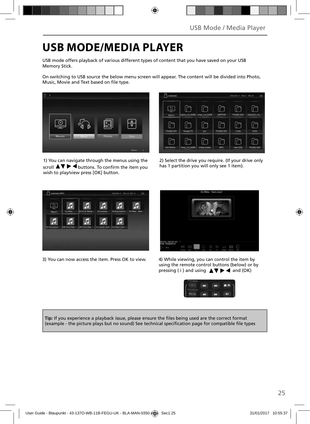## **USB MODE/MEDIA PLAYER**

USB mode offers playback of various different types of content that you have saved on your USB Memory Stick.

On switching to USB source the below menu screen will appear. The content will be divided into Photo, Music. Movie and Text based on file type.



1) You can navigate through the menus using the scroll  $\blacktriangle \blacktriangledown \blacktriangleright \blacktriangleleft$  buttons. To confirm the item you wish to play/view press [OK] button.

| <b>Aisbisda1</b> |                   |               |                  | Directorian 17, 4944 D. Tolat 34 | 1/2         |
|------------------|-------------------|---------------|------------------|----------------------------------|-------------|
| ÷<br>Return.     | ciplus, cvt. 6488 | smac_cvt_6308 | <b>MSTPVR</b>    | FOUND.000                        | xhdcp20_cvt |
| FOUND 001        | Yousee TS         | DVT           | <b>FOUND.002</b> | 2100                             | 1kHz        |
| 100-500Hz        | hotel cvt 6488    | chata hudba   | MP3              | new OSD                          | FOUND 004   |

2) Select the drive you require. (If your drive only has 1 partition you will only see 1 item).



3) You can now access the item. Press OK to view. 4) While viewing, you can control the item by



using the remote control buttons (below) or by pressing (i) and using  $\triangle \blacktriangledown \blacktriangleright \blacktriangleleft$  and (OK)



Tip: If you experience a playback issue, please ensure the files being used are the correct format (example - the picture plays but no sound) See technical specification page for compatible file types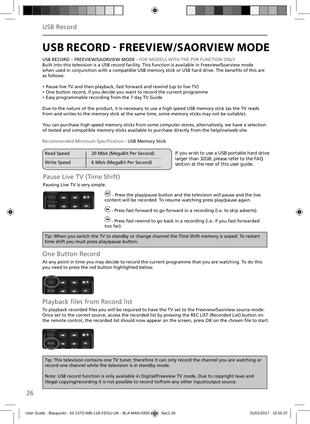## **USB RECORD - FREEVIEW/SAORVIEW MODE**

USB RECORD – FREEVIEW/SAORVIEW MODE - FOR MODELS WITH THE PVR FUNCTION ONLY Built into this television is a USB record facility. This function is available in Freeview/Soarview mode when used in conjunction with a compatible USB memory stick or USB hard drive. The benefits of this are as follows:

- Pause live TV and then playback, fast forward and rewind (up to live TV)
- One button record, if you decide you want to record the current programme
- Easy programmable recording from the 7 day TV Guide

Due to the nature of the product, it is necessary to use a high speed USB memory stick (as the TV reads from and writes to the memory stick at the same time, some memory sticks may not be suitable).

You can purchase high speed memory sticks from some computer stores, alternatively, we have a selection of tested and compatible memory sticks available to purchase directly from the helpline/web site.

Recommended Minimum Specification - USB Memory Stick

| <b>Read Speed</b>  | 20 Mb/s (MegaBit Per Second) |
|--------------------|------------------------------|
| <b>Write Speed</b> | 6 Mb/s (MegaBit Per Second)  |

**If you wish to use a USB portable hard drive larger than 32GB, please refer to the FAQ section at the rear of this user guide.**

### Pause Live TV (Time Shift)

Pausing Live TV is very simple.



 $-M$ ) - Press the play/pause button and the television will pause and the live content will be recorded. To resume watching press play/pause again.

 $\left(\cdot\right)$  - Press fast forward to go forward in a recording (i.e. to skip adverts).

 $\bigodot$  - Press fast rewind to go back in a recording (i.e. if you fast forwarded too far).

Tip: When you switch the TV to standby or change channel the Time Shift memory is wiped. To restart time shift you must press play/pause button.

### One Button Record

At any point in time you may decide to record the current programme that you are watching. To do this you need to press the red button highlighted below.



## Playback files from Record list

To playback recorded files you will be required to have the TV set to the Freeview/Saorview source mode. Once set to the correct source, access the recorded list by pressing the REC LIST (Recorded List) button on the remote control, the recorded list should now appear on the screen, press OK on the chosen file to start.



Tip: This television contains one TV tuner, therefore it can only record the channel you are watching or record one channel while the television is in standby mode.

Note: USB record function is only available in Digital/Freeview TV mode. Due to copyright laws and illegal copying/recording it is not possible to record to/from any other input/output source.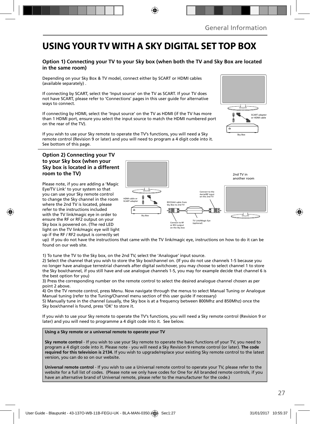## **USING YOUR TV WITH A SKY DIGITAL SET TOP BOX**

#### **Option 1) Connecting your TV to your Sky box (when both the TV and Sky Box are located in the same room)**

Depending on your Sky Box & TV model, connect either by SCART or HDMI cables (available separately) .

If connecting by SCART, select the 'Input source' on the TV as SCART. If your TV does not have SCART, please refer to 'Connections' pages in this user guide for alternative ways to connect.

If connecting by HDMI, select the 'Input source' on the TV as HDMI (if the TV has more than 1 HDMI port, ensure you select the input source to match the HDMI numbered port on the rear of the TV).

If you wish to use your Sky remote to operate the TV's functions, you will need a Sky remote control (Revision 9 or later) and you will need to program a 4 digit code into it. See bottom of this page.

#### **Option 2) Connecting your TV to your Sky box (when your Sky box is located in a different room to the TV)**

Please note, if you are adding a 'Magic Eye/TV Link' to your system so that you can use your Sky remote control to change the Sky channel in the room where the 2nd TV is located, please refer to the instructions included with the TV link/magic eye in order to ensure the RF or RF2 output on your Sky box is powered on. (The red LED light on the TV link/magic eye will light up if the RF / RF2 output is correctly set



up) If you do not have the instructions that came with the TV link/magic eye, instructions on how to do it can be found on our web site.

1) To tune the TV to the Sky box, on the 2nd TV, select the 'Analogue' input source.

2) Select the channel that you wish to store the Sky box/channel on. (If you do not use channels 1-5 because you no longer have analogue terrestrial channels after digital switchover, you may choose to select channel 1 to store the Sky box/channel, if you still have and use analogue channels 1-5, you may for example decide that channel 6 is the best option for you)

3) Press the corresponding number on the remote control to select the desired analogue channel chosen as per point 2 above.

4) On the TV remote control, press Menu. Now navigate through the menus to select Manual Tuning or Analogue Manual tuning (refer to the Tuning/Channel menu section of this user guide if necessary)

5) Manually tune in the channel (usually, the Sky box is at a frequency between 800Mhz and 850Mhz) once the Sky box/channel is found, press 'OK' to store it.

If you wish to use your Sky remote to operate the TV's functions, you will need a Sky remote control (Revision 9 or later) and you will need to programme a 4 digit code into it. See below.

#### **Using a Sky remote or a universal remote to operate your TV**

**Sky remote control** - If you wish to use your Sky remote to operate the basic functions of your TV, you need to program a 4 digit code into it. Please note - you will need a Sky Revision 9 remote control (or later). **The code required for this television is 2134.** If you wish to upgrade/replace your existing Sky remote control to the latest version, you can do so on our website.

**Universal remote control** - If you wish to use a Universal remote control to operate your TV, please refer to the website for a full list of codes. (Please note we only have codes for One for All branded remote controls, if you have an alternative brand of Universal remote, please refer to the manufacturer for the code.)

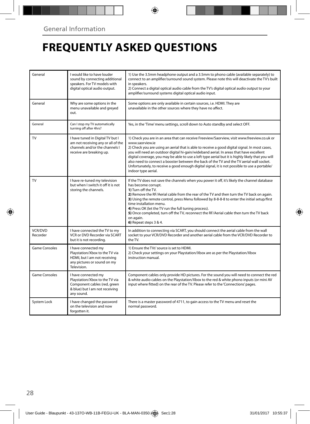## **FREQUENTLY ASKED QUESTIONS**

| General             | I would like to have louder<br>sound by connecting additional<br>speakers. For TV models with<br>digital optical audio output.        | 1) Use the 3.5mm headphone output and a 3.5mm to phono cable (available separately) to<br>connect to an amplifier/surround sound system. Please note this will deactivate the TV's built<br>in speakers.<br>2) Connect a digital optical audio cable from the TV's digital optical audio output to your<br>amplifier/surround systems digital optical audio input.                                                                                                                                                                                                                                                                  |
|---------------------|---------------------------------------------------------------------------------------------------------------------------------------|-------------------------------------------------------------------------------------------------------------------------------------------------------------------------------------------------------------------------------------------------------------------------------------------------------------------------------------------------------------------------------------------------------------------------------------------------------------------------------------------------------------------------------------------------------------------------------------------------------------------------------------|
| General             | Why are some options in the<br>menu unavailable and greyed<br>out.                                                                    | Some options are only available in certain sources, i.e. HDMI. They are<br>unavailable in the other sources where they have no affect.                                                                                                                                                                                                                                                                                                                                                                                                                                                                                              |
| General             | Can I stop my TV automatically<br>turning off after 4hrs?                                                                             | Yes, in the 'Time' menu settings, scroll down to Auto standby and select OFF.                                                                                                                                                                                                                                                                                                                                                                                                                                                                                                                                                       |
| TV                  | I have tuned in Digital TV but I<br>am not receiving any or all of the<br>channels and/or the channels I<br>receive are breaking up.  | 1) Check you are in an area that can receive Freeview/Saorview, visit www.freeview.co.uk or<br>www.saorview.ie<br>2) Check you are using an aerial that is able to receive a good digital signal. In most cases,<br>you will need an outdoor digital hi-gain/wideband aerial. In areas that have excellent<br>digital coverage, you may be able to use a loft type aerial but it is highly likely that you will<br>also need to connect a booster between the back of the TV and the TV aerial wall socket.<br>Unfortunately, to receive a good enough digital signal, it is not possible to use a portable/<br>indoor type aerial. |
| TV                  | I have re-tuned my television<br>but when I switch it off it is not<br>storing the channels.                                          | If the TV does not save the channels when you power it off, it's likely the channel database<br>has become corrupt.<br>1) Turn off the TV.<br>2) Remove the RF/Aerial cable from the rear of the TV and then turn the TV back on again.<br>3) Using the remote control, press Menu followed by 8-8-8-8 to enter the initial setup/first<br>time installation menu.<br>4) Press OK (let the TV run the full tuning process).<br>5) Once completed, turn off the TV, reconnect the RF/Aerial cable then turn the TV back<br>on again.<br>6) Repeat steps 3 & 4.                                                                       |
| VCR/DVD<br>Recorder | I have connected the TV to my<br>VCR or DVD Recorder via SCART<br>but it is not recordina.                                            | In addition to connecting via SCART, you should connect the aerial cable from the wall<br>socket to your VCR/DVD Recorder and another aerial cable from the VCR/DVD Recorder to<br>the TV.                                                                                                                                                                                                                                                                                                                                                                                                                                          |
| Game Consoles       | I have connected my<br>Playstation/Xbox to the TV via<br>HDMI, but I am not receiving<br>any pictures or sound on my<br>Television.   | 1) Ensure the TVs' source is set to HDMI.<br>2) Check your settings on your Playstation/Xbox are as per the Playstation/Xbox<br>instruction manual.                                                                                                                                                                                                                                                                                                                                                                                                                                                                                 |
| Game Consoles       | I have connected my<br>Playstation/Xbox to the TV via<br>Component cables (red, green<br>& blue) but I am not receiving<br>any sound. | Component cables only provide HD pictures. For the sound you will need to connect the red<br>& white audio cables on the Playstation/Xbox to the red & white phono inputs (or mini AV<br>input where fitted) on the rear of the TV. Please refer to the 'Connections' pages.                                                                                                                                                                                                                                                                                                                                                        |
| System Lock         | I have changed the password<br>on the television and now<br>forgotten it.                                                             | There is a master password of 4711, to gain access to the TV menu and reset the<br>normal password.                                                                                                                                                                                                                                                                                                                                                                                                                                                                                                                                 |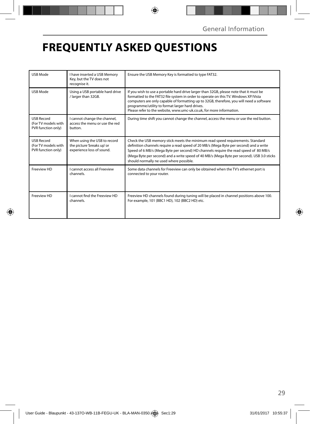## **FREQUENTLY ASKED QUESTIONS**

| <b>USB Mode</b>                                                | I have inserted a USB Memory<br>Key, but the TV does not<br>recognise it.               | Ensure the USB Memory Key is formatted to type FAT32.                                                                                                                                                                                                                                                                                                                                                     |  |
|----------------------------------------------------------------|-----------------------------------------------------------------------------------------|-----------------------------------------------------------------------------------------------------------------------------------------------------------------------------------------------------------------------------------------------------------------------------------------------------------------------------------------------------------------------------------------------------------|--|
| USB Mode                                                       | Using a USB portable hard drive<br>/ larger than 32GB.                                  | If you wish to use a portable hard drive larger than 32GB, please note that it must be<br>formatted to the FAT32 file system in order to operate on this TV. Windows XP/Vista<br>computers are only capable of formatting up to 32GB, therefore, you will need a software<br>programme/utility to format larger hard drives.<br>Please refer to the website, www.umc-uk.co.uk, for more information.      |  |
| <b>USB Record</b><br>(For TV models with<br>PVR function only) | I cannot change the channel,<br>access the menu or use the red<br>button.               | During time shift you cannot change the channel, access the menu or use the red button.                                                                                                                                                                                                                                                                                                                   |  |
| <b>USB Record</b><br>(For TV models with<br>PVR function only) | When using the USB to record<br>the picture 'breaks up' or<br>experience loss of sound. | Check the USB memory stick meets the minimum read speed requirements. Standard<br>definition channels require a read speed of 20 MB/s (Mega Byte per second) and a write<br>Speed of 6 MB/s (Mega Byte per second) HD channels require the read speed of 80 MB/s<br>(Mega Byte per second) and a write speed of 40 MB/s (Mega Byte per second). USB 3.0 sticks<br>should normally ne used where possible. |  |
| Freeview HD                                                    | <b>Lcannot access all Freeview</b><br>channels.                                         | Some data channels for Freeview can only be obtained when the TV's ethernet port is<br>connected to your router.                                                                                                                                                                                                                                                                                          |  |
| Freeview HD                                                    | I cannot find the Freeview HD<br>channels.                                              | Freeview HD channels found during tuning will be placed in channel positions above 100.<br>For example, 101 (BBC1 HD), 102 (BBC2 HD) etc.                                                                                                                                                                                                                                                                 |  |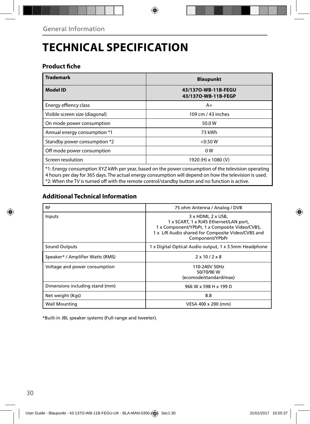## **TECHNICAL SPECIFICATION**

### **Product fiche**

| <b>Trademark</b>                                                                                    | <b>Blaupunkt</b>                           |  |  |  |
|-----------------------------------------------------------------------------------------------------|--------------------------------------------|--|--|--|
| <b>Model ID</b>                                                                                     | 43/1370-WB-11B-FEGU<br>43/1370-WB-11B-FEGP |  |  |  |
| Energy effiency class                                                                               | $A+$                                       |  |  |  |
| Visible screen size (diagonal)                                                                      | 109 cm / 43 inches                         |  |  |  |
| On mode power consumption                                                                           | 50.0W                                      |  |  |  |
| Annual energy consumption *1                                                                        | 73 kWh                                     |  |  |  |
| Standby power consumption *2                                                                        | $<$ 0.50 W                                 |  |  |  |
| Off mode power consumption                                                                          | 0 <sub>W</sub>                             |  |  |  |
| Screen resolution                                                                                   | 1920 (H) x 1080 (V)                        |  |  |  |
| *1: Energy consumption XYZ kWh per year, based on the power consumption of the television operating |                                            |  |  |  |

4 hours per day for 365 days. The actual energy consumption will depend on how the television is used. \*2: When the TV is turned off with the remote control/standby button and no function is active.

### **Additional Technical Information**

| <b>RF</b>                        | 75 ohm Antenna / Analog / DVB                                                                                                                                                          |  |  |
|----------------------------------|----------------------------------------------------------------------------------------------------------------------------------------------------------------------------------------|--|--|
| Inputs                           | 3 x HDMI, 2 x USB,<br>1 x SCART, 1 x RJ45 Ethernet/LAN port,<br>1 x Component/YPbPr, 1 x Composite Video/CVBS,<br>1 x L/R Audio shared for Composite Video/CVBS and<br>Component/YPbPr |  |  |
| Sound Outputs                    | 1 x Digital Optical Audio output, 1 x 3.5mm Headphone                                                                                                                                  |  |  |
| Speaker* / Amplifier Watts (RMS) | $2 \times 10 / 2 \times 8$                                                                                                                                                             |  |  |
| Voltage and power consumption    | 110-240V 50Hz<br>50/70/90 W<br>(ecomode/standard/max)                                                                                                                                  |  |  |
| Dimensions including stand (mm)  | 966 W x 598 H x 199 D                                                                                                                                                                  |  |  |
| Net weight (Kgs)                 | 8.8                                                                                                                                                                                    |  |  |
| <b>Wall Mounting</b>             | VESA 400 x 200 (mm)                                                                                                                                                                    |  |  |

\*Built-in JBL speaker systems (Full-range and tweeter).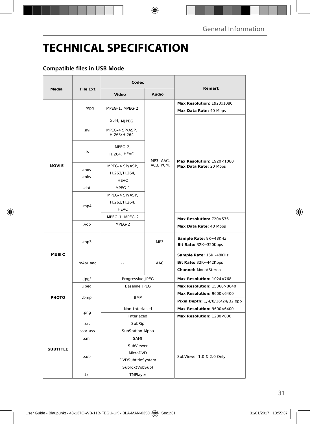## **TECHNICAL SPECIFICATION**

### **Compatible files in USB Mode**

|                 | File Ext.    | Codec                                         |                        |                                                                         |
|-----------------|--------------|-----------------------------------------------|------------------------|-------------------------------------------------------------------------|
| Media           |              | Video                                         | Audio                  | Remark                                                                  |
| <b>MOVIE</b>    |              |                                               |                        | Max Resolution: 1920x1080                                               |
|                 | .mpg         | MPEG-1, MPEG-2                                | MP3, AAC,<br>AC3, PCM, | Max Data Rate: 40 Mbps                                                  |
|                 |              | Xvid, MJPEG                                   |                        | Max Resolution: 1920×1080<br>Max Data Rate: 20 Mbps                     |
|                 | .avi         | MPEG-4 SP/ASP,<br>H.263/H.264                 |                        |                                                                         |
|                 | .ts          | MPEG-2,<br>H.264, HEVC                        |                        |                                                                         |
|                 | .mov<br>.mkv | MPEG-4 SP/ASP,<br>H.263/H.264,<br><b>HEVC</b> |                        |                                                                         |
|                 | .dat         | MPEG-1                                        |                        |                                                                         |
|                 | .mp4         | MPEG-4 SP/ASP,<br>H.263/H.264,<br><b>HEVC</b> |                        |                                                                         |
|                 |              | MPEG-1, MPEG-2                                |                        | Max Resolution: 720×576                                                 |
|                 | .vob         | MPEG-2                                        |                        | Max Data Rate: 40 Mbps                                                  |
| <b>MUSIC</b>    | mp3          | Ξ.                                            | MP3                    | Sample Rate: 8K~48KHz<br>Bit Rate: $32K - 320Kbps$                      |
|                 | .m4a/.aac    | $-1$                                          | AAC                    | Sample Rate: 16K~48KHz<br>Bit Rate: 32K~442Kbps<br>Channel: Mono/Stereo |
|                 | .jpg/        | Progressive JPEG                              |                        | Max Resolution: $1024\times768$                                         |
| PHOTO           | .jpeg        | <b>Baseline JPEG</b>                          |                        | Max Resolution: 15360×8640                                              |
|                 | .bmp         | <b>BMP</b>                                    |                        | Max Resolution: 9600×6400                                               |
|                 |              |                                               |                        | Pixel Depth: 1/4/8/16/24/32 bpp                                         |
|                 | .png         | Non-Interlaced                                |                        | Max Resolution: 9600×6400                                               |
|                 |              | Interlaced                                    |                        | Max Resolution: 1280×800                                                |
| <b>SUBTITLE</b> | .srt         | SubRip                                        |                        |                                                                         |
|                 | .ssa/.ass    | SubStation Alpha                              |                        |                                                                         |
|                 | .smi         | SAMI                                          |                        |                                                                         |
|                 | .sub         | SubViewer                                     |                        | SubViewer 1.0 & 2.0 Only                                                |
|                 |              | MicroDVD                                      |                        |                                                                         |
|                 |              | DVDSubtitleSystem                             |                        |                                                                         |
|                 |              | SubIdx (VobSub)                               |                        |                                                                         |
|                 | .txt         | TMPlayer                                      |                        |                                                                         |